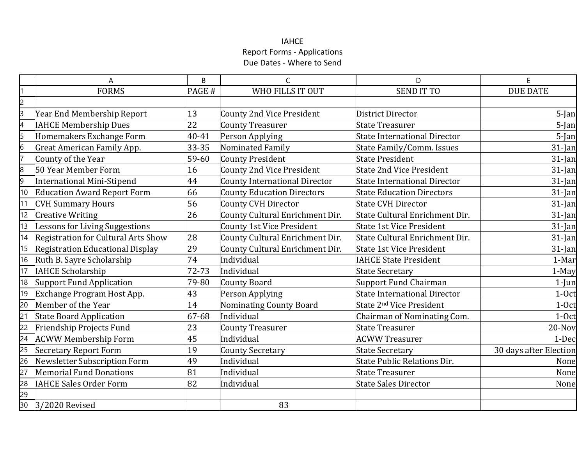# IAHCE Report Forms - Applications Due Dates - Where to Send

|                | A                                       | B     | C                                    | D                                    |                        |
|----------------|-----------------------------------------|-------|--------------------------------------|--------------------------------------|------------------------|
|                | <b>FORMS</b>                            | PAGE# | WHO FILLS IT OUT                     | <b>SEND IT TO</b>                    | <b>DUE DATE</b>        |
| $\overline{2}$ |                                         |       |                                      |                                      |                        |
| З              | Year End Membership Report              | 13    | <b>County 2nd Vice President</b>     | District Director                    | 5-Jan                  |
| 4              | <b>AHCE Membership Dues</b>             | 22    | <b>County Treasurer</b>              | <b>State Treasurer</b>               | 5-Jan                  |
| 5              | Homemakers Exchange Form                | 40-41 | Person Applying                      | <b>State International Director</b>  | 5-Jan                  |
| 6              | Great American Family App.              | 33-35 | Nominated Family                     | <b>State Family/Comm. Issues</b>     | 31-Jan                 |
| l7             | County of the Year                      | 59-60 | County President                     | <b>State President</b>               | 31-Jan                 |
| $\overline{8}$ | 50 Year Member Form                     | 16    | <b>County 2nd Vice President</b>     | <b>State 2nd Vice President</b>      | $31$ -Jan              |
| 9              | <b>International Mini-Stipend</b>       | 44    | <b>County International Director</b> | <b>State International Director</b>  | 31-Jan                 |
| 10             | <b>Education Award Report Form</b>      | 66    | <b>County Education Directors</b>    | <b>State Education Directors</b>     | 31-Jan                 |
| 11             | <b>CVH Summary Hours</b>                | 56    | <b>County CVH Director</b>           | <b>State CVH Director</b>            | 31-Jan                 |
| 12             | <b>Creative Writing</b>                 | 26    | County Cultural Enrichment Dir.      | State Cultural Enrichment Dir.       | 31-Jan                 |
| 13             | Lessons for Living Suggestions          |       | <b>County 1st Vice President</b>     | <b>State 1st Vice President</b>      | 31-Jan                 |
| 14             | Registration for Cultural Arts Show     | 28    | County Cultural Enrichment Dir.      | State Cultural Enrichment Dir.       | $31$ -Jan              |
| 15             | <b>Registration Educational Display</b> | 29    | County Cultural Enrichment Dir.      | <b>State 1st Vice President</b>      | 31-Jan                 |
| 16             | Ruth B. Sayre Scholarship               | 74    | Individual                           | <b>IAHCE State President</b>         | 1-Mar                  |
| 17             | <b>IAHCE Scholarship</b>                | 72-73 | Individual                           | <b>State Secretary</b>               | 1-May                  |
| 18             | <b>Support Fund Application</b>         | 79-80 | <b>County Board</b>                  | <b>Support Fund Chairman</b>         | $1$ -Jun               |
| 19             | Exchange Program Host App.              | 43    | Person Applying                      | State International Director         | $1-0ct$                |
| 20             | Member of the Year                      | 14    | Nominating County Board              | State 2 <sup>nd</sup> Vice President | $1-0ct$                |
| 21             | <b>State Board Application</b>          | 67-68 | Individual                           | Chairman of Nominating Com.          | $1-0ct$                |
| 22             | Friendship Projects Fund                | 23    | <b>County Treasurer</b>              | <b>State Treasurer</b>               | 20-Nov                 |
| 24             | <b>ACWW Membership Form</b>             | 45    | Individual                           | <b>ACWW Treasurer</b>                | 1-Dec                  |
| 25             | <b>Secretary Report Form</b>            | 19    | <b>County Secretary</b>              | <b>State Secretary</b>               | 30 days after Election |
| 26             | Newsletter Subscription Form            | 49    | Individual                           | <b>State Public Relations Dir.</b>   | None                   |
| 27             | <b>Memorial Fund Donations</b>          | 81    | Individual                           | <b>State Treasurer</b>               | None                   |
| 28             | <b>IAHCE Sales Order Form</b>           | 82    | Individual                           | <b>State Sales Director</b>          | None                   |
| 29             |                                         |       |                                      |                                      |                        |
| 30             | 3/2020 Revised                          |       | 83                                   |                                      |                        |